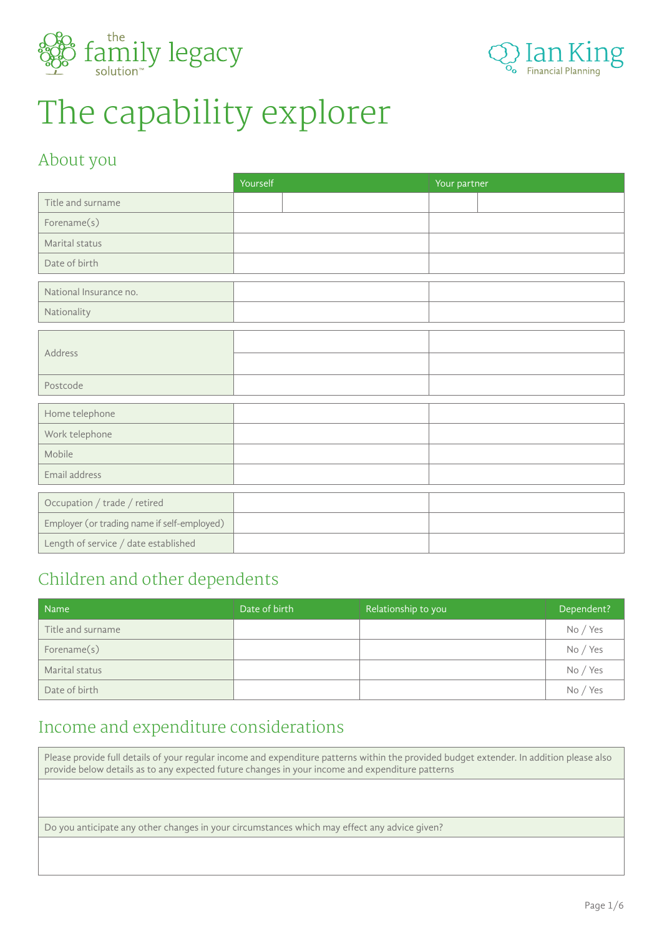



# The capability explorer

#### About you

|                                             | Yourself | Your partner |
|---------------------------------------------|----------|--------------|
| Title and surname                           |          |              |
| Forename(s)                                 |          |              |
| Marital status                              |          |              |
| Date of birth                               |          |              |
| National Insurance no.                      |          |              |
| Nationality                                 |          |              |
|                                             |          |              |
| Address                                     |          |              |
|                                             |          |              |
| Postcode                                    |          |              |
|                                             |          |              |
| Home telephone                              |          |              |
| Work telephone                              |          |              |
| Mobile                                      |          |              |
| Email address                               |          |              |
|                                             |          |              |
| Occupation / trade / retired                |          |              |
| Employer (or trading name if self-employed) |          |              |
| Length of service / date established        |          |              |

#### Children and other dependents

| <b>Name</b>       | Date of birth | Relationship to you | Dependent? |
|-------------------|---------------|---------------------|------------|
| Title and surname |               |                     | No / Yes   |
| Forename(s)       |               |                     | No / Yes   |
| Marital status    |               |                     | No / Yes   |
| Date of birth     |               |                     | No / Yes   |

### Income and expenditure considerations

Please provide full details of your regular income and expenditure patterns within the provided budget extender. In addition please also provide below details as to any expected future changes in your income and expenditure patterns

Do you anticipate any other changes in your circumstances which may effect any advice given?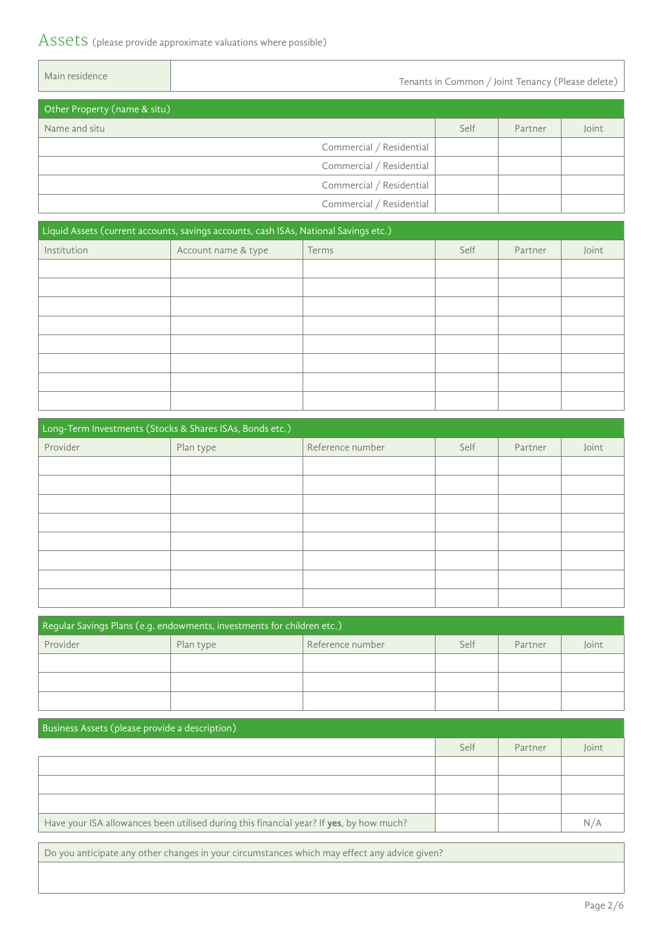#### ASSETS (please provide approximate valuations where possible)

 $\overline{\phantom{a}}$ 

| Main residence               | Tenants in Common / Joint Tenancy (Please delete) |      |         |       |  |
|------------------------------|---------------------------------------------------|------|---------|-------|--|
| Other Property (name & situ) |                                                   |      |         |       |  |
| Name and situ                |                                                   | Self | Partner | Joint |  |
|                              | Commercial / Residential                          |      |         |       |  |
|                              | Commercial / Residential                          |      |         |       |  |
|                              | Commercial / Residential                          |      |         |       |  |
|                              | Commercial / Residential                          |      |         |       |  |
|                              |                                                   |      |         |       |  |

| Liquid Assets (current accounts, savings accounts, cash ISAs, National Savings etc.) |                     |       |      |         |       |
|--------------------------------------------------------------------------------------|---------------------|-------|------|---------|-------|
| Institution                                                                          | Account name & type | Terms | Self | Partner | Joint |
|                                                                                      |                     |       |      |         |       |
|                                                                                      |                     |       |      |         |       |
|                                                                                      |                     |       |      |         |       |
|                                                                                      |                     |       |      |         |       |
|                                                                                      |                     |       |      |         |       |
|                                                                                      |                     |       |      |         |       |
|                                                                                      |                     |       |      |         |       |
|                                                                                      |                     |       |      |         |       |

| Long-Term Investments (Stocks & Shares ISAs, Bonds etc.) |           |                  |      |         |       |
|----------------------------------------------------------|-----------|------------------|------|---------|-------|
| Provider                                                 | Plan type | Reference number | Self | Partner | Joint |
|                                                          |           |                  |      |         |       |
|                                                          |           |                  |      |         |       |
|                                                          |           |                  |      |         |       |
|                                                          |           |                  |      |         |       |
|                                                          |           |                  |      |         |       |
|                                                          |           |                  |      |         |       |
|                                                          |           |                  |      |         |       |
|                                                          |           |                  |      |         |       |

| Regular Savings Plans (e.g. endowments, investments for children etc.) |           |                  |      |         |       |  |
|------------------------------------------------------------------------|-----------|------------------|------|---------|-------|--|
| Provider                                                               | Plan type | Reference number | Self | Partner | Joint |  |
|                                                                        |           |                  |      |         |       |  |
|                                                                        |           |                  |      |         |       |  |
|                                                                        |           |                  |      |         |       |  |

| Business Assets (please provide a description)                                          |      |         |       |  |  |
|-----------------------------------------------------------------------------------------|------|---------|-------|--|--|
|                                                                                         | Self | Partner | Joint |  |  |
|                                                                                         |      |         |       |  |  |
|                                                                                         |      |         |       |  |  |
|                                                                                         |      |         |       |  |  |
| Have your ISA allowances been utilised during this financial year? If yes, by how much? |      |         | N/A   |  |  |

Do you anticipate any other changes in your circumstances which may effect any advice given?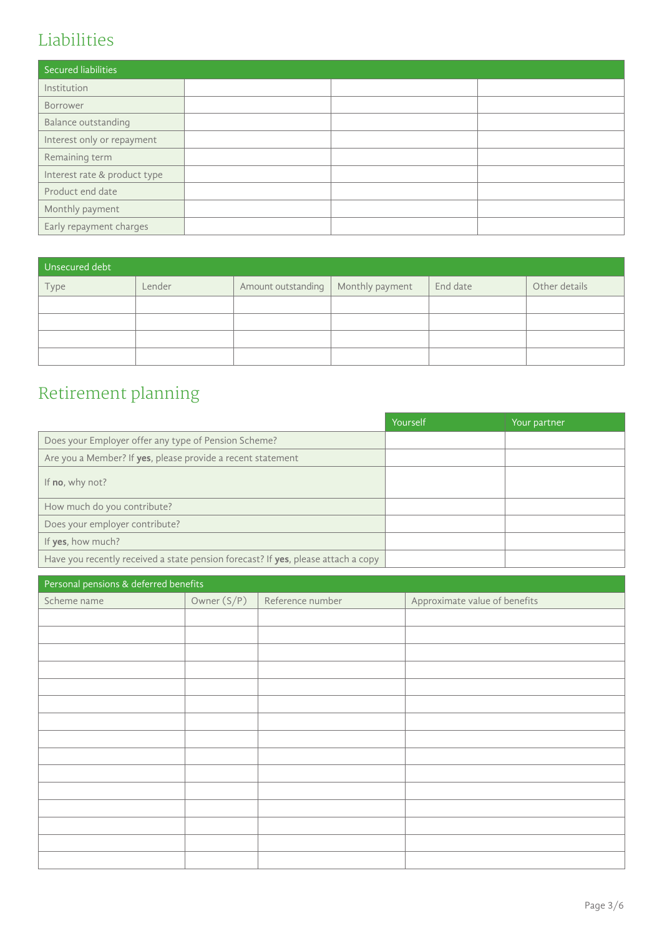# Liabilities

| Secured liabilities          |  |  |
|------------------------------|--|--|
| Institution                  |  |  |
| Borrower                     |  |  |
| Balance outstanding          |  |  |
| Interest only or repayment   |  |  |
| Remaining term               |  |  |
| Interest rate & product type |  |  |
| Product end date             |  |  |
| Monthly payment              |  |  |
| Early repayment charges      |  |  |

| Unsecured debt |        |                                      |          |               |
|----------------|--------|--------------------------------------|----------|---------------|
| Type           | Lender | Amount outstanding   Monthly payment | End date | Other details |
|                |        |                                      |          |               |
|                |        |                                      |          |               |
|                |        |                                      |          |               |
|                |        |                                      |          |               |

# Retirement planning

|                                                                                   | Yourself | Your partner |
|-----------------------------------------------------------------------------------|----------|--------------|
| Does your Employer offer any type of Pension Scheme?                              |          |              |
| Are you a Member? If yes, please provide a recent statement                       |          |              |
| If <b>no</b> , why not?                                                           |          |              |
| How much do you contribute?                                                       |          |              |
| Does your employer contribute?                                                    |          |              |
| If yes, how much?                                                                 |          |              |
| Have you recently received a state pension forecast? If yes, please attach a copy |          |              |

| Personal pensions & deferred benefits |               |                  |                               |  |  |
|---------------------------------------|---------------|------------------|-------------------------------|--|--|
| Scheme name                           | Owner $(S/P)$ | Reference number | Approximate value of benefits |  |  |
|                                       |               |                  |                               |  |  |
|                                       |               |                  |                               |  |  |
|                                       |               |                  |                               |  |  |
|                                       |               |                  |                               |  |  |
|                                       |               |                  |                               |  |  |
|                                       |               |                  |                               |  |  |
|                                       |               |                  |                               |  |  |
|                                       |               |                  |                               |  |  |
|                                       |               |                  |                               |  |  |
|                                       |               |                  |                               |  |  |
|                                       |               |                  |                               |  |  |
|                                       |               |                  |                               |  |  |
|                                       |               |                  |                               |  |  |
|                                       |               |                  |                               |  |  |
|                                       |               |                  |                               |  |  |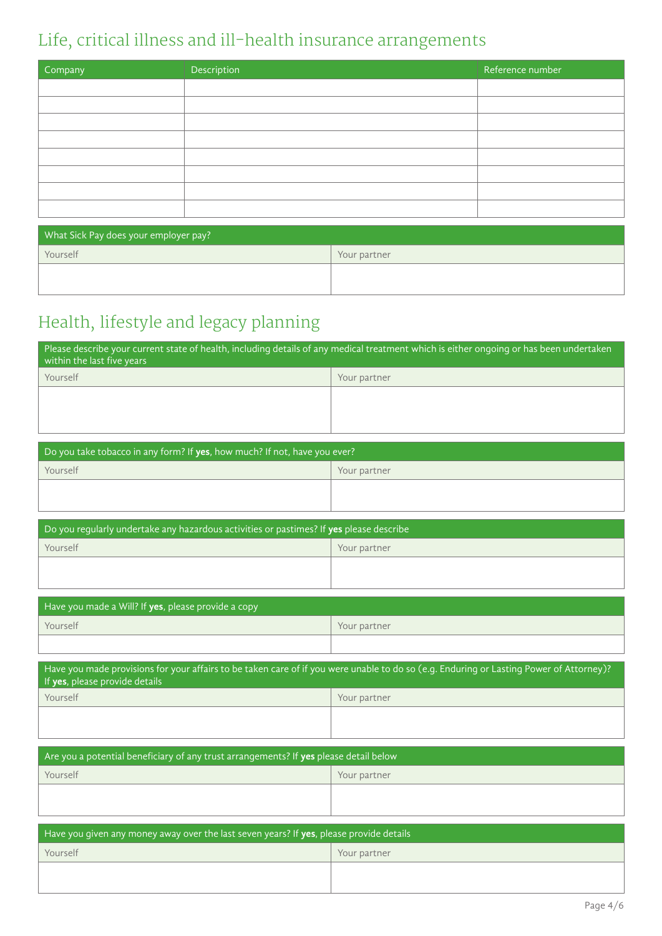# Life, critical illness and ill-health insurance arrangements

| Company | Description | Reference number |
|---------|-------------|------------------|
|         |             |                  |
|         |             |                  |
|         |             |                  |
|         |             |                  |
|         |             |                  |
|         |             |                  |
|         |             |                  |
|         |             |                  |

| What Sick Pay does your employer pay? |              |  |  |  |
|---------------------------------------|--------------|--|--|--|
| Yourself                              | Your partner |  |  |  |
|                                       |              |  |  |  |
|                                       |              |  |  |  |

# Health, lifestyle and legacy planning

| Please describe your current state of health, including details of any medical treatment which is either ongoing or has been undertaken<br>within the last five years |              |  |  |  |
|-----------------------------------------------------------------------------------------------------------------------------------------------------------------------|--------------|--|--|--|
| Yourself                                                                                                                                                              | Your partner |  |  |  |
|                                                                                                                                                                       |              |  |  |  |
|                                                                                                                                                                       |              |  |  |  |
|                                                                                                                                                                       |              |  |  |  |

| Do you take tobacco in any form? If yes, how much? If not, have you ever? |              |  |  |  |
|---------------------------------------------------------------------------|--------------|--|--|--|
| Yourself                                                                  | Your partner |  |  |  |
|                                                                           |              |  |  |  |
|                                                                           |              |  |  |  |

| Do you requiarly undertake any hazardous activities or pastimes? If yes please describe |              |  |  |  |
|-----------------------------------------------------------------------------------------|--------------|--|--|--|
| Yourself                                                                                | Your partner |  |  |  |
|                                                                                         |              |  |  |  |
|                                                                                         |              |  |  |  |

| Have you made a Will? If yes, please provide a copy |              |  |  |  |
|-----------------------------------------------------|--------------|--|--|--|
| Yourself                                            | Your partner |  |  |  |
|                                                     |              |  |  |  |

| Have you made provisions for your affairs to be taken care of if you were unable to do so (e.g. Enduring or Lasting Power of Attorney)?<br>If yes, please provide details |              |  |  |  |  |  |
|---------------------------------------------------------------------------------------------------------------------------------------------------------------------------|--------------|--|--|--|--|--|
| Yourself                                                                                                                                                                  | Your partner |  |  |  |  |  |
|                                                                                                                                                                           |              |  |  |  |  |  |
| Are you a potential beneficiary of any trust arrangements? If yes please detail below                                                                                     |              |  |  |  |  |  |
| Yourself                                                                                                                                                                  | Your partner |  |  |  |  |  |
|                                                                                                                                                                           |              |  |  |  |  |  |
| Have you given any money away over the last seven years? If yes, please provide details                                                                                   |              |  |  |  |  |  |
| Yourself                                                                                                                                                                  | Your partner |  |  |  |  |  |
|                                                                                                                                                                           |              |  |  |  |  |  |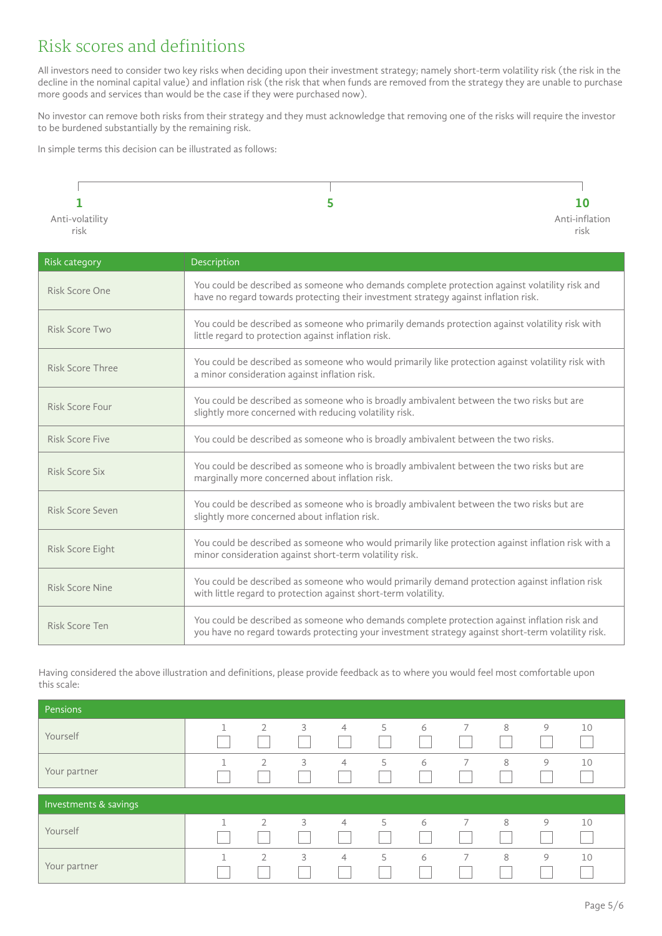#### Risk scores and definitions

All investors need to consider two key risks when deciding upon their investment strategy; namely short-term volatility risk (the risk in the decline in the nominal capital value) and inflation risk (the risk that when funds are removed from the strategy they are unable to purchase more goods and services than would be the case if they were purchased now).

No investor can remove both risks from their strategy and they must acknowledge that removing one of the risks will require the investor to be burdened substantially by the remaining risk.

In simple terms this decision can be illustrated as follows:



| Risk category    | Description                                                                                                                                                                                        |  |  |  |
|------------------|----------------------------------------------------------------------------------------------------------------------------------------------------------------------------------------------------|--|--|--|
| Risk Score One   | You could be described as someone who demands complete protection against volatility risk and<br>have no regard towards protecting their investment strategy against inflation risk.               |  |  |  |
| Risk Score Two   | You could be described as someone who primarily demands protection against volatility risk with<br>little regard to protection against inflation risk.                                             |  |  |  |
| Risk Score Three | You could be described as someone who would primarily like protection against volatility risk with<br>a minor consideration against inflation risk.                                                |  |  |  |
| Risk Score Four  | You could be described as someone who is broadly ambivalent between the two risks but are<br>slightly more concerned with reducing volatility risk.                                                |  |  |  |
| Risk Score Five  | You could be described as someone who is broadly ambivalent between the two risks.                                                                                                                 |  |  |  |
| Risk Score Six   | You could be described as someone who is broadly ambivalent between the two risks but are<br>marginally more concerned about inflation risk.                                                       |  |  |  |
| Risk Score Seven | You could be described as someone who is broadly ambivalent between the two risks but are<br>slightly more concerned about inflation risk.                                                         |  |  |  |
| Risk Score Eight | You could be described as someone who would primarily like protection against inflation risk with a<br>minor consideration against short-term volatility risk.                                     |  |  |  |
| Risk Score Nine  | You could be described as someone who would primarily demand protection against inflation risk<br>with little regard to protection against short-term volatility.                                  |  |  |  |
| Risk Score Ten   | You could be described as someone who demands complete protection against inflation risk and<br>you have no regard towards protecting your investment strategy against short-term volatility risk. |  |  |  |

Having considered the above illustration and definitions, please provide feedback as to where you would feel most comfortable upon this scale:

| Pensions              |   |                |   |                |   |   |   |   |   |    |
|-----------------------|---|----------------|---|----------------|---|---|---|---|---|----|
| Yourself              | 1 | $\overline{2}$ | 3 | $\overline{4}$ | 5 | 6 | 7 | 8 | 9 | 10 |
| Your partner          | п | $\overline{2}$ | 3 | $\overline{4}$ | 5 | 6 | 7 | 8 | 9 | 10 |
| Investments & savings |   |                |   |                |   |   |   |   |   |    |
|                       |   |                |   |                |   |   |   |   |   |    |
| Yourself              | п | $\overline{2}$ | 3 | $\overline{4}$ | 5 | 6 | 7 | 8 | 9 | 10 |